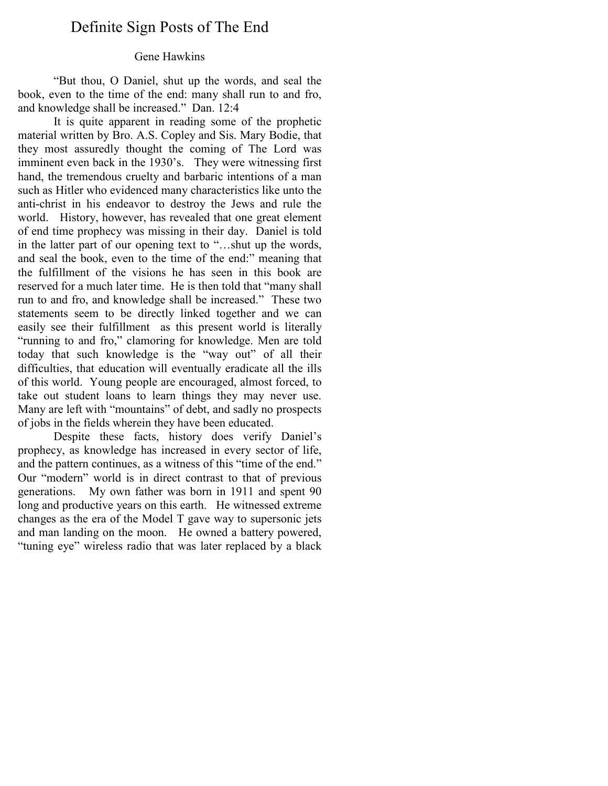# Definite Sign Posts of The End

### Gene Hawkins

"But thou, O Daniel, shut up the words, and seal the book, even to the time of the end: many shall run to and fro, and knowledge shall be increased." Dan. 12:4

It is quite apparent in reading some of the prophetic material written by Bro. A.S. Copley and Sis. Mary Bodie, that they most assuredly thought the coming of The Lord was imminent even back in the 1930's. They were witnessing first hand, the tremendous cruelty and barbaric intentions of a man such as Hitler who evidenced many characteristics like unto the anti-christ in his endeavor to destroy the Jews and rule the world. History, however, has revealed that one great element of end time prophecy was missing in their day. Daniel is told in the latter part of our opening text to "…shut up the words, and seal the book, even to the time of the end:" meaning that the fulfillment of the visions he has seen in this book are reserved for a much later time. He is then told that "many shall run to and fro, and knowledge shall be increased." These two statements seem to be directly linked together and we can easily see their fulfillment as this present world is literally "running to and fro," clamoring for knowledge. Men are told today that such knowledge is the "way out" of all their difficulties, that education will eventually eradicate all the ills of this world. Young people are encouraged, almost forced, to take out student loans to learn things they may never use. Many are left with "mountains" of debt, and sadly no prospects of jobs in the fields wherein they have been educated.

Despite these facts, history does verify Daniel's prophecy, as knowledge has increased in every sector of life, and the pattern continues, as a witness of this "time of the end." Our "modern" world is in direct contrast to that of previous generations. My own father was born in 1911 and spent 90 long and productive years on this earth. He witnessed extreme changes as the era of the Model T gave way to supersonic jets and man landing on the moon. He owned a battery powered, "tuning eye" wireless radio that was later replaced by a black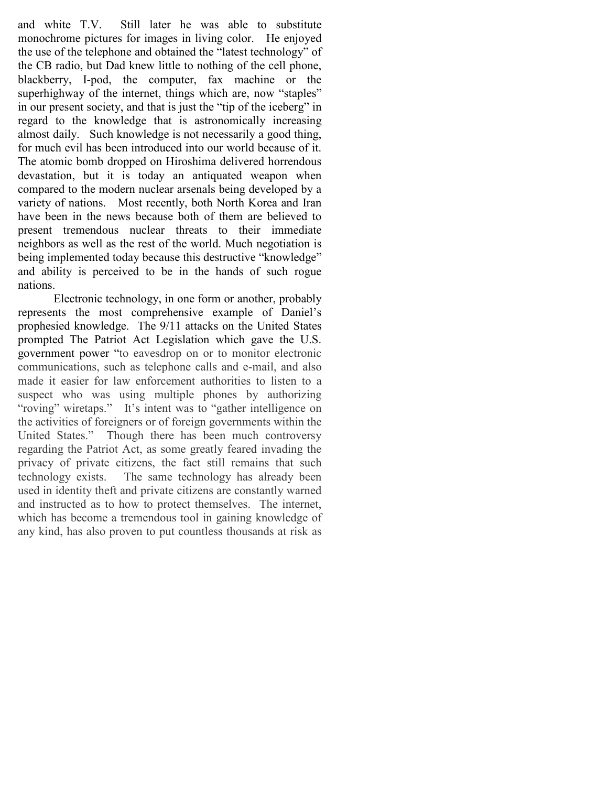and white T.V. Still later he was able to substitute monochrome pictures for images in living color. He enjoyed the use of the telephone and obtained the "latest technology" of the CB radio, but Dad knew little to nothing of the cell phone, blackberry, I-pod, the computer, fax machine or the superhighway of the internet, things which are, now "staples" in our present society, and that is just the "tip of the iceberg" in regard to the knowledge that is astronomically increasing almost daily. Such knowledge is not necessarily a good thing, for much evil has been introduced into our world because of it. The atomic bomb dropped on Hiroshima delivered horrendous devastation, but it is today an antiquated weapon when compared to the modern nuclear arsenals being developed by a variety of nations. Most recently, both North Korea and Iran have been in the news because both of them are believed to present tremendous nuclear threats to their immediate neighbors as well as the rest of the world. Much negotiation is being implemented today because this destructive "knowledge" and ability is perceived to be in the hands of such rogue nations.

Electronic technology, in one form or another, probably represents the most comprehensive example of Daniel's prophesied knowledge. The 9/11 attacks on the United States prompted The Patriot Act Legislation which gave the U.S. government power "to eavesdrop on or to monitor electronic communications, such as telephone calls and e-mail, and also made it easier for law enforcement authorities to listen to a suspect who was using multiple phones by authorizing "roving" wiretaps." It's intent was to "gather intelligence on the activities of foreigners or of foreign governments within the United States." Though there has been much controversy regarding the Patriot Act, as some greatly feared invading the privacy of private citizens, the fact still remains that such technology exists. The same technology has already been used in identity theft and private citizens are constantly warned and instructed as to how to protect themselves. The internet, which has become a tremendous tool in gaining knowledge of any kind, has also proven to put countless thousands at risk as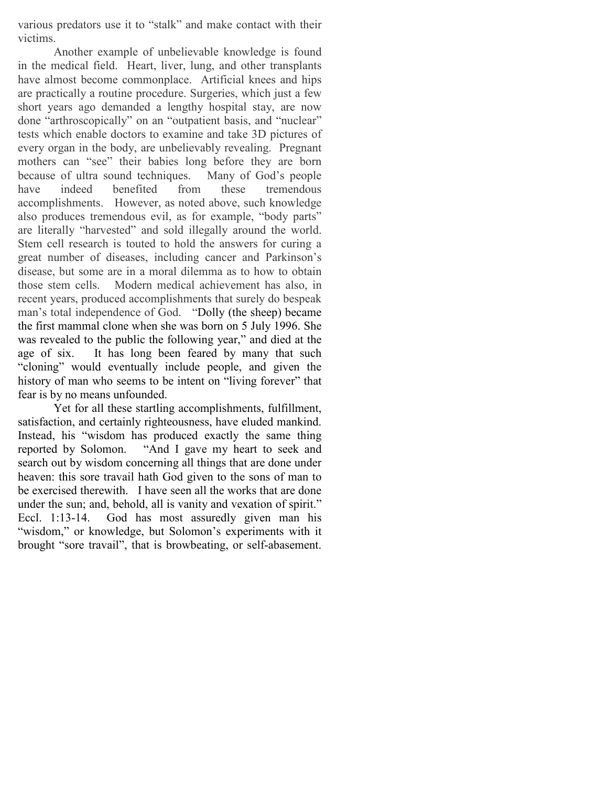various predators use it to "stalk" and make contact with their victims.

Another example of unbelievable knowledge is found in the medical field. Heart, liver, lung, and other transplants have almost become commonplace. Artificial knees and hips are practically a routine procedure. Surgeries, which just a few short years ago demanded a lengthy hospital stay, are now done "arthroscopically" on an "outpatient basis, and "nuclear" tests which enable doctors to examine and take 3D pictures of every organ in the body, are unbelievably revealing. Pregnant mothers can "see" their babies long before they are born<br>because of ultra sound techniques. Many of God's people because of ultra sound techniques. have indeed benefited from these tremendous accomplishments. However, as noted above, such knowledge also produces tremendous evil, as for example, "body parts" are literally "harvested" and sold illegally around the world. Stem cell research is touted to hold the answers for curing a great number of diseases, including cancer and Parkinson's disease, but some are in a moral dilemma as to how to obtain those stem cells. Modern medical achievement has also, in recent years, produced accomplishments that surely do bespeak man's total independence of God. "Dolly (the sheep) became the first mammal clone when she was born on 5 July 1996. She was revealed to the public the following year," and died at the age of six. It has long been feared by many that such "cloning" would eventually include people, and given the history of man who seems to be intent on "living forever" that fear is by no means unfounded.

Yet for all these startling accomplishments, fulfillment, satisfaction, and certainly righteousness, have eluded mankind. Instead, his "wisdom has produced exactly the same thing reported by Solomon. "And I gave my heart to seek and search out by wisdom concerning all things that are done under heaven: this sore travail hath God given to the sons of man to be exercised therewith. I have seen all the works that are done under the sun; and, behold, all is vanity and vexation of spirit." Eccl. 1:13-14. God has most assuredly given man his "wisdom," or knowledge, but Solomon's experiments with it brought "sore travail", that is browbeating, or self-abasement.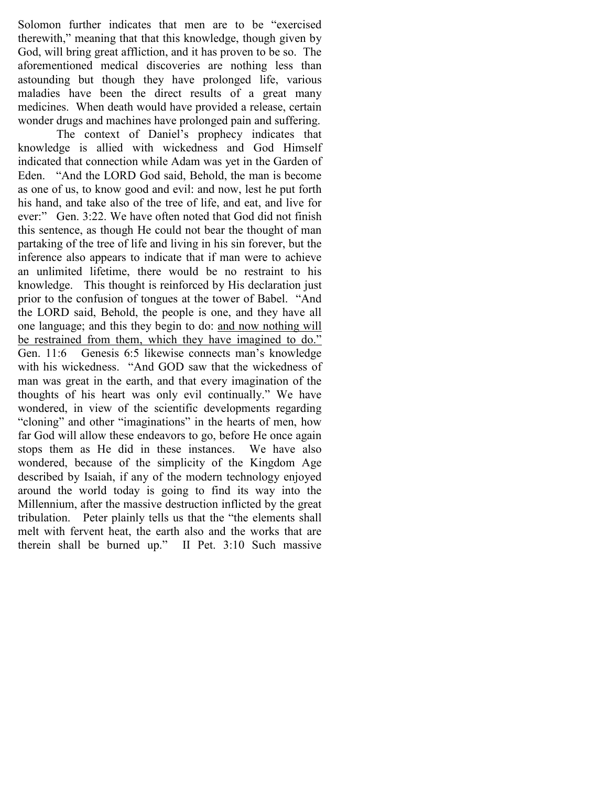Solomon further indicates that men are to be "exercised therewith," meaning that that this knowledge, though given by God, will bring great affliction, and it has proven to be so. The aforementioned medical discoveries are nothing less than astounding but though they have prolonged life, various maladies have been the direct results of a great many medicines. When death would have provided a release, certain wonder drugs and machines have prolonged pain and suffering.

 The context of Daniel's prophecy indicates that knowledge is allied with wickedness and God Himself indicated that connection while Adam was yet in the Garden of Eden. "And the LORD God said, Behold, the man is become as one of us, to know good and evil: and now, lest he put forth his hand, and take also of the tree of life, and eat, and live for ever:" Gen. 3:22. We have often noted that God did not finish this sentence, as though He could not bear the thought of man partaking of the tree of life and living in his sin forever, but the inference also appears to indicate that if man were to achieve an unlimited lifetime, there would be no restraint to his knowledge. This thought is reinforced by His declaration just prior to the confusion of tongues at the tower of Babel. "And the LORD said, Behold, the people is one, and they have all one language; and this they begin to do: and now nothing will be restrained from them, which they have imagined to do." Gen. 11:6 Genesis 6:5 likewise connects man's knowledge with his wickedness. "And GOD saw that the wickedness of man was great in the earth, and that every imagination of the thoughts of his heart was only evil continually." We have wondered, in view of the scientific developments regarding "cloning" and other "imaginations" in the hearts of men, how far God will allow these endeavors to go, before He once again stops them as He did in these instances. We have also wondered, because of the simplicity of the Kingdom Age described by Isaiah, if any of the modern technology enjoyed around the world today is going to find its way into the Millennium, after the massive destruction inflicted by the great tribulation. Peter plainly tells us that the "the elements shall melt with fervent heat, the earth also and the works that are therein shall be burned up." II Pet. 3:10 Such massive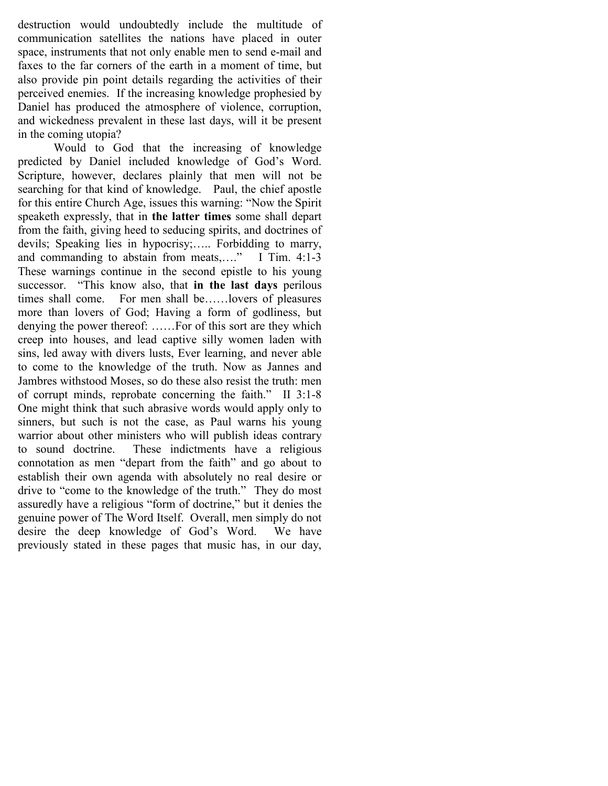destruction would undoubtedly include the multitude of communication satellites the nations have placed in outer space, instruments that not only enable men to send e-mail and faxes to the far corners of the earth in a moment of time, but also provide pin point details regarding the activities of their perceived enemies. If the increasing knowledge prophesied by Daniel has produced the atmosphere of violence, corruption, and wickedness prevalent in these last days, will it be present in the coming utopia?

Would to God that the increasing of knowledge predicted by Daniel included knowledge of God's Word. Scripture, however, declares plainly that men will not be searching for that kind of knowledge. Paul, the chief apostle for this entire Church Age, issues this warning: "Now the Spirit speaketh expressly, that in the latter times some shall depart from the faith, giving heed to seducing spirits, and doctrines of devils; Speaking lies in hypocrisy;….. Forbidding to marry, and commanding to abstain from meats,…." I Tim. 4:1-3 These warnings continue in the second epistle to his young successor. "This know also, that in the last days perilous times shall come. For men shall be……lovers of pleasures more than lovers of God; Having a form of godliness, but denying the power thereof: ……For of this sort are they which creep into houses, and lead captive silly women laden with sins, led away with divers lusts, Ever learning, and never able to come to the knowledge of the truth. Now as Jannes and Jambres withstood Moses, so do these also resist the truth: men of corrupt minds, reprobate concerning the faith." II 3:1-8 One might think that such abrasive words would apply only to sinners, but such is not the case, as Paul warns his young warrior about other ministers who will publish ideas contrary to sound doctrine. These indictments have a religious connotation as men "depart from the faith" and go about to establish their own agenda with absolutely no real desire or drive to "come to the knowledge of the truth." They do most assuredly have a religious "form of doctrine," but it denies the genuine power of The Word Itself. Overall, men simply do not desire the deep knowledge of God's Word. We have previously stated in these pages that music has, in our day,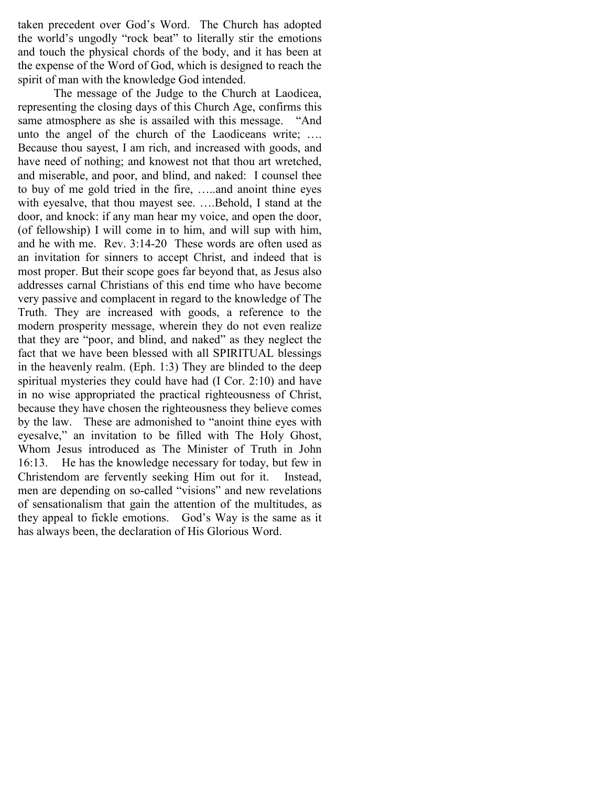taken precedent over God's Word. The Church has adopted the world's ungodly "rock beat" to literally stir the emotions and touch the physical chords of the body, and it has been at the expense of the Word of God, which is designed to reach the spirit of man with the knowledge God intended.

The message of the Judge to the Church at Laodicea, representing the closing days of this Church Age, confirms this same atmosphere as she is assailed with this message. "And unto the angel of the church of the Laodiceans write; …. Because thou sayest, I am rich, and increased with goods, and have need of nothing; and knowest not that thou art wretched, and miserable, and poor, and blind, and naked: I counsel thee to buy of me gold tried in the fire, …..and anoint thine eyes with eyesalve, that thou mayest see. ….Behold, I stand at the door, and knock: if any man hear my voice, and open the door, (of fellowship) I will come in to him, and will sup with him, and he with me. Rev. 3:14-20 These words are often used as an invitation for sinners to accept Christ, and indeed that is most proper. But their scope goes far beyond that, as Jesus also addresses carnal Christians of this end time who have become very passive and complacent in regard to the knowledge of The Truth. They are increased with goods, a reference to the modern prosperity message, wherein they do not even realize that they are "poor, and blind, and naked" as they neglect the fact that we have been blessed with all SPIRITUAL blessings in the heavenly realm. (Eph. 1:3) They are blinded to the deep spiritual mysteries they could have had (I Cor. 2:10) and have in no wise appropriated the practical righteousness of Christ, because they have chosen the righteousness they believe comes by the law. These are admonished to "anoint thine eyes with eyesalve," an invitation to be filled with The Holy Ghost, Whom Jesus introduced as The Minister of Truth in John 16:13. He has the knowledge necessary for today, but few in Christendom are fervently seeking Him out for it. Instead, men are depending on so-called "visions" and new revelations of sensationalism that gain the attention of the multitudes, as they appeal to fickle emotions. God's Way is the same as it has always been, the declaration of His Glorious Word.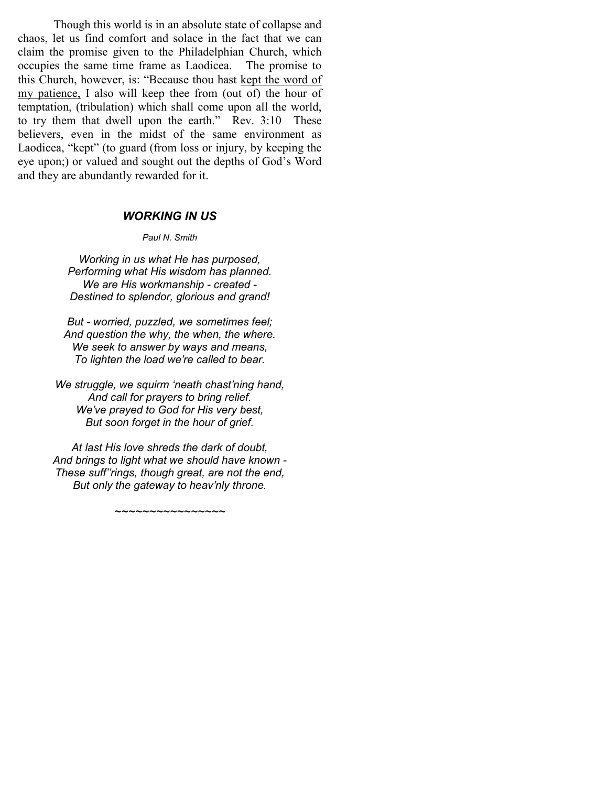Though this world is in an absolute state of collapse and chaos, let us find comfort and solace in the fact that we can claim the promise given to the Philadelphian Church, which occupies the same time frame as Laodicea. The promise to this Church, however, is: "Because thou hast kept the word of my patience, I also will keep thee from (out of) the hour of temptation, (tribulation) which shall come upon all the world, to try them that dwell upon the earth." Rev. 3:10 These believers, even in the midst of the same environment as Laodicea, "kept" (to guard (from loss or injury, by keeping the eye upon;) or valued and sought out the depths of God's Word and they are abundantly rewarded for it.

### WORKING IN US

Paul N. Smith

Working in us what He has purposed, Performing what His wisdom has planned. We are His workmanship - created - Destined to splendor, glorious and grand!

But - worried, puzzled, we sometimes feel; And question the why, the when, the where. We seek to answer by ways and means, To lighten the load we're called to bear.

We struggle, we squirm 'neath chast'ning hand, And call for prayers to bring relief. We've prayed to God for His very best, But soon forget in the hour of grief.

At last His love shreds the dark of doubt, And brings to light what we should have known - These suff''rings, though great, are not the end, But only the gateway to heav'nly throne.

~~~~~~~~~~~~~~~~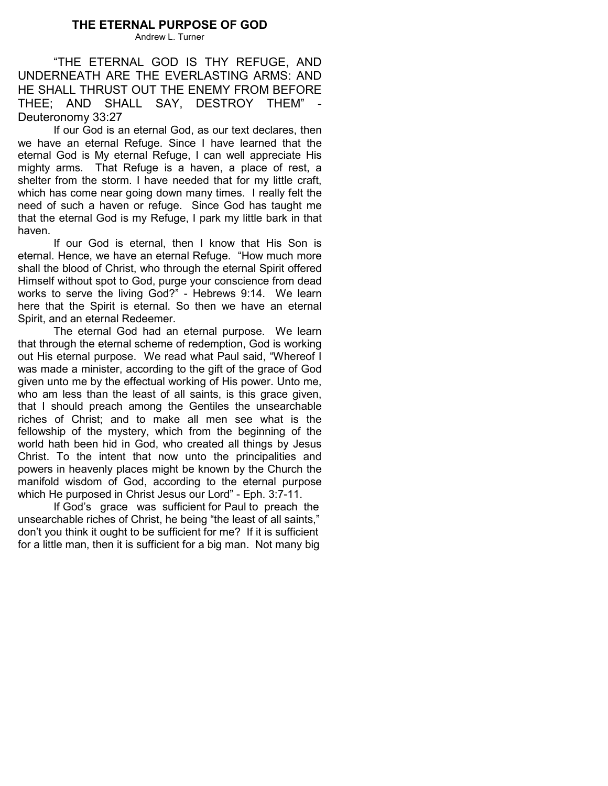### THE ETERNAL PURPOSE OF GOD

Andrew L. Turner

 "THE ETERNAL GOD IS THY REFUGE, AND UNDERNEATH ARE THE EVERLASTING ARMS: AND HE SHALL THRUST OUT THE ENEMY FROM BEFORE THEE; AND SHALL SAY, DESTROY THEM" Deuteronomy 33:27

 If our God is an eternal God, as our text declares, then we have an eternal Refuge. Since I have learned that the eternal God is My eternal Refuge, I can well appreciate His mighty arms. That Refuge is a haven, a place of rest, a shelter from the storm. I have needed that for my little craft, which has come near going down many times. I really felt the need of such a haven or refuge. Since God has taught me that the eternal God is my Refuge, I park my little bark in that haven.

 If our God is eternal, then I know that His Son is eternal. Hence, we have an eternal Refuge. "How much more shall the blood of Christ, who through the eternal Spirit offered Himself without spot to God, purge your conscience from dead works to serve the living God?" - Hebrews 9:14. We learn here that the Spirit is eternal. So then we have an eternal Spirit, and an eternal Redeemer.

 The eternal God had an eternal purpose. We learn that through the eternal scheme of redemption, God is working out His eternal purpose. We read what Paul said, "Whereof I was made a minister, according to the gift of the grace of God given unto me by the effectual working of His power. Unto me, who am less than the least of all saints, is this grace given, that I should preach among the Gentiles the unsearchable riches of Christ; and to make all men see what is the fellowship of the mystery, which from the beginning of the world hath been hid in God, who created all things by Jesus Christ. To the intent that now unto the principalities and powers in heavenly places might be known by the Church the manifold wisdom of God, according to the eternal purpose which He purposed in Christ Jesus our Lord" - Eph. 3:7-11.

If God's grace was sufficient for Paul to preach the unsearchable riches of Christ, he being "the least of all saints," don't you think it ought to be sufficient for me? If it is sufficient for a little man, then it is sufficient for a big man. Not many big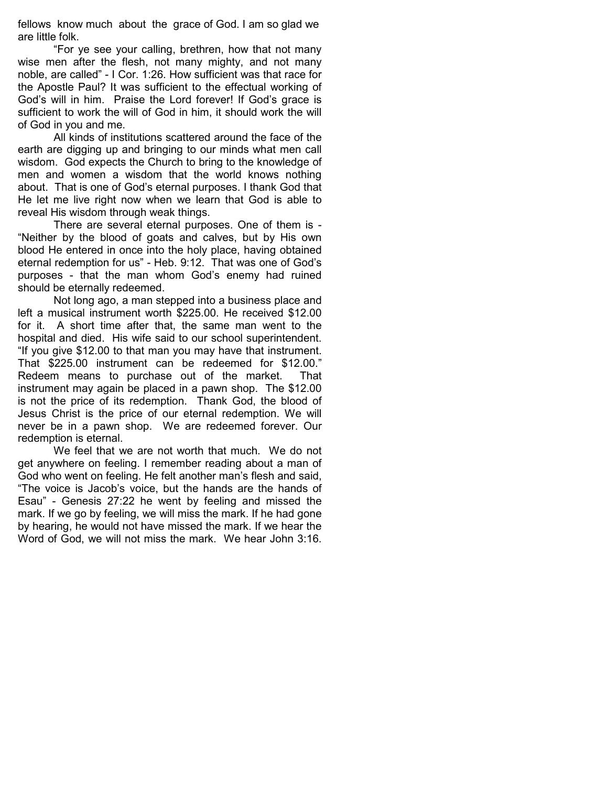fellows know much about the grace of God. I am so glad we are little folk.

 "For ye see your calling, brethren, how that not many wise men after the flesh, not many mighty, and not many noble, are called" - I Cor. 1:26. How sufficient was that race for the Apostle Paul? It was sufficient to the effectual working of God's will in him. Praise the Lord forever! If God's grace is sufficient to work the will of God in him, it should work the will of God in you and me.

 All kinds of institutions scattered around the face of the earth are digging up and bringing to our minds what men call wisdom. God expects the Church to bring to the knowledge of men and women a wisdom that the world knows nothing about. That is one of God's eternal purposes. I thank God that He let me live right now when we learn that God is able to reveal His wisdom through weak things.

 There are several eternal purposes. One of them is - "Neither by the blood of goats and calves, but by His own blood He entered in once into the holy place, having obtained eternal redemption for us" - Heb. 9:12. That was one of God's purposes - that the man whom God's enemy had ruined should be eternally redeemed.

 Not long ago, a man stepped into a business place and left a musical instrument worth \$225.00. He received \$12.00 for it. A short time after that, the same man went to the hospital and died. His wife said to our school superintendent. "If you give \$12.00 to that man you may have that instrument. That \$225.00 instrument can be redeemed for \$12.00." Redeem means to purchase out of the market. That instrument may again be placed in a pawn shop. The \$12.00 is not the price of its redemption. Thank God, the blood of Jesus Christ is the price of our eternal redemption. We will never be in a pawn shop. We are redeemed forever. Our redemption is eternal.

 We feel that we are not worth that much. We do not get anywhere on feeling. I remember reading about a man of God who went on feeling. He felt another man's flesh and said, "The voice is Jacob's voice, but the hands are the hands of Esau" - Genesis 27:22 he went by feeling and missed the mark. If we go by feeling, we will miss the mark. If he had gone by hearing, he would not have missed the mark. If we hear the Word of God, we will not miss the mark. We hear John 3:16.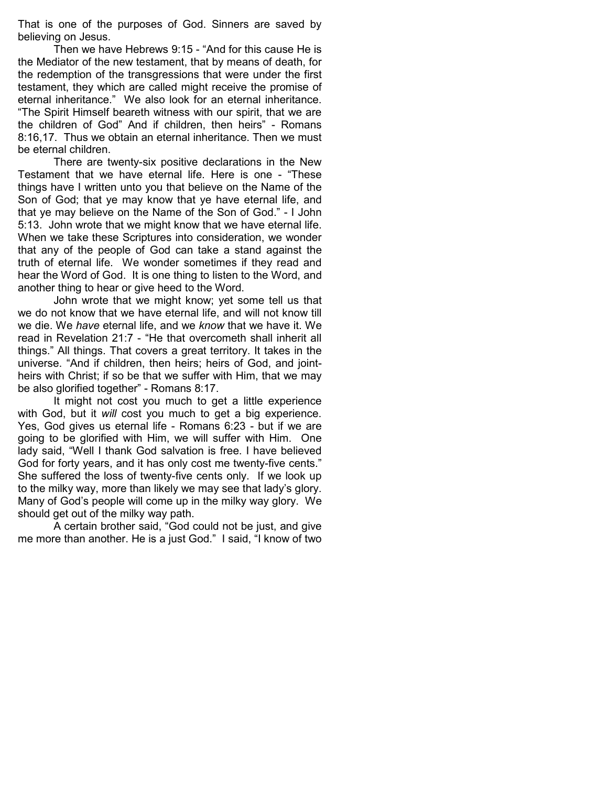That is one of the purposes of God. Sinners are saved by believing on Jesus.

 Then we have Hebrews 9:15 - "And for this cause He is the Mediator of the new testament, that by means of death, for the redemption of the transgressions that were under the first testament, they which are called might receive the promise of eternal inheritance." We also look for an eternal inheritance. "The Spirit Himself beareth witness with our spirit, that we are the children of God" And if children, then heirs" - Romans 8:16,17. Thus we obtain an eternal inheritance. Then we must be eternal children.

 There are twenty-six positive declarations in the New Testament that we have eternal life. Here is one - "These things have I written unto you that believe on the Name of the Son of God; that ye may know that ye have eternal life, and that ye may believe on the Name of the Son of God." - I John 5:13. John wrote that we might know that we have eternal life. When we take these Scriptures into consideration, we wonder that any of the people of God can take a stand against the truth of eternal life. We wonder sometimes if they read and hear the Word of God. It is one thing to listen to the Word, and another thing to hear or give heed to the Word.

 John wrote that we might know; yet some tell us that we do not know that we have eternal life, and will not know till we die. We have eternal life, and we know that we have it. We read in Revelation 21:7 - "He that overcometh shall inherit all things." All things. That covers a great territory. It takes in the universe. "And if children, then heirs; heirs of God, and jointheirs with Christ; if so be that we suffer with Him, that we may be also glorified together" - Romans 8:17.

 It might not cost you much to get a little experience with God, but it will cost you much to get a big experience. Yes, God gives us eternal life - Romans 6:23 - but if we are going to be glorified with Him, we will suffer with Him. One lady said, "Well I thank God salvation is free. I have believed God for forty years, and it has only cost me twenty-five cents." She suffered the loss of twenty-five cents only. If we look up to the milky way, more than likely we may see that lady's glory. Many of God's people will come up in the milky way glory. We should get out of the milky way path.

 A certain brother said, "God could not be just, and give me more than another. He is a just God." I said, "I know of two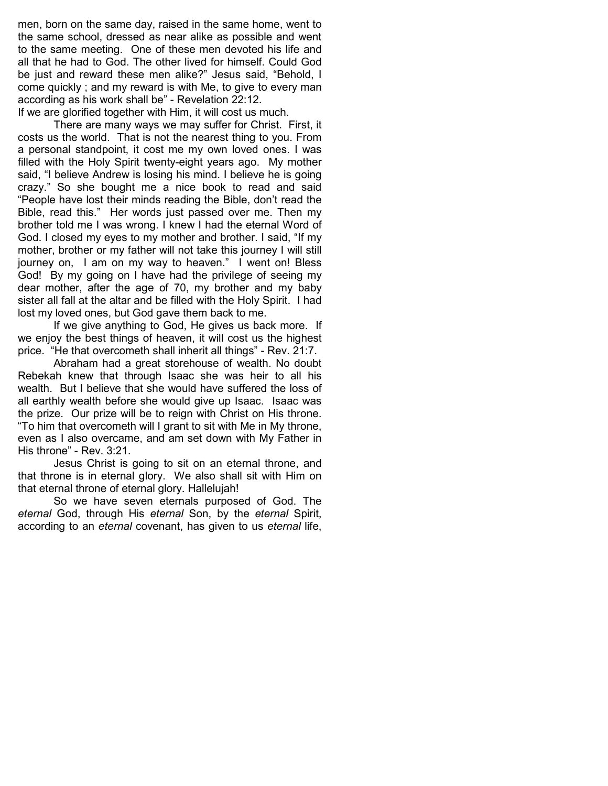men, born on the same day, raised in the same home, went to the same school, dressed as near alike as possible and went to the same meeting. One of these men devoted his life and all that he had to God. The other lived for himself. Could God be just and reward these men alike?" Jesus said, "Behold, I come quickly ; and my reward is with Me, to give to every man according as his work shall be" - Revelation 22:12.

If we are glorified together with Him, it will cost us much.

 There are many ways we may suffer for Christ. First, it costs us the world. That is not the nearest thing to you. From a personal standpoint, it cost me my own loved ones. I was filled with the Holy Spirit twenty-eight years ago. My mother said, "I believe Andrew is losing his mind. I believe he is going crazy." So she bought me a nice book to read and said "People have lost their minds reading the Bible, don't read the Bible, read this." Her words just passed over me. Then my brother told me I was wrong. I knew I had the eternal Word of God. I closed my eyes to my mother and brother. I said, "If my mother, brother or my father will not take this journey I will still journey on, I am on my way to heaven." I went on! Bless God! By my going on I have had the privilege of seeing my dear mother, after the age of 70, my brother and my baby sister all fall at the altar and be filled with the Holy Spirit. I had lost my loved ones, but God gave them back to me.

 If we give anything to God, He gives us back more. If we enjoy the best things of heaven, it will cost us the highest price. "He that overcometh shall inherit all things" - Rev. 21:7.

 Abraham had a great storehouse of wealth. No doubt Rebekah knew that through Isaac she was heir to all his wealth. But I believe that she would have suffered the loss of all earthly wealth before she would give up Isaac. Isaac was the prize. Our prize will be to reign with Christ on His throne. "To him that overcometh will I grant to sit with Me in My throne, even as I also overcame, and am set down with My Father in His throne" - Rev. 3:21.

 Jesus Christ is going to sit on an eternal throne, and that throne is in eternal glory. We also shall sit with Him on that eternal throne of eternal glory. Hallelujah!

 So we have seven eternals purposed of God. The eternal God, through His eternal Son, by the eternal Spirit, according to an eternal covenant, has given to us eternal life,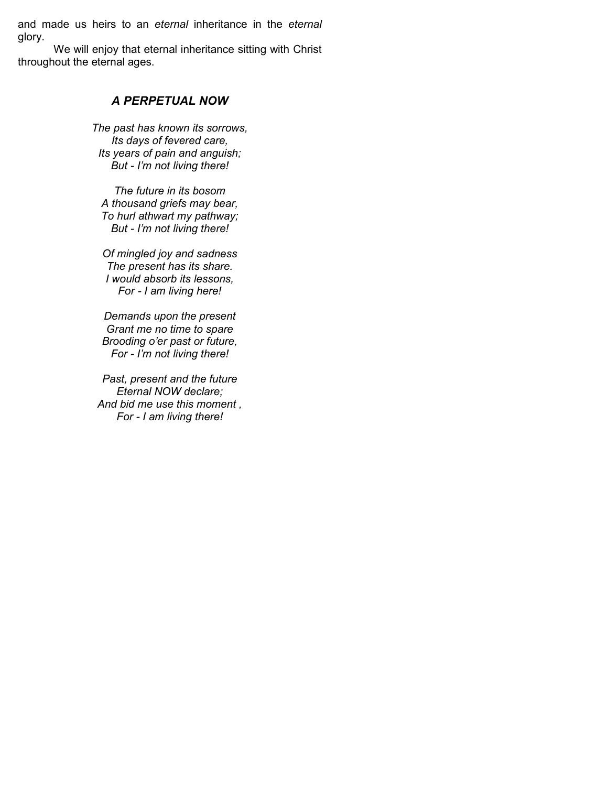and made us heirs to an eternal inheritance in the eternal glory.

 We will enjoy that eternal inheritance sitting with Christ throughout the eternal ages.

# A PERPETUAL NOW

The past has known its sorrows, Its days of fevered care, Its years of pain and anguish; But - I'm not living there!

The future in its bosom A thousand griefs may bear, To hurl athwart my pathway; But - I'm not living there!

Of mingled joy and sadness The present has its share. I would absorb its lessons, For - I am living here!

Demands upon the present Grant me no time to spare Brooding o'er past or future, For - I'm not living there!

Past, present and the future Eternal NOW declare; And bid me use this moment , For - I am living there!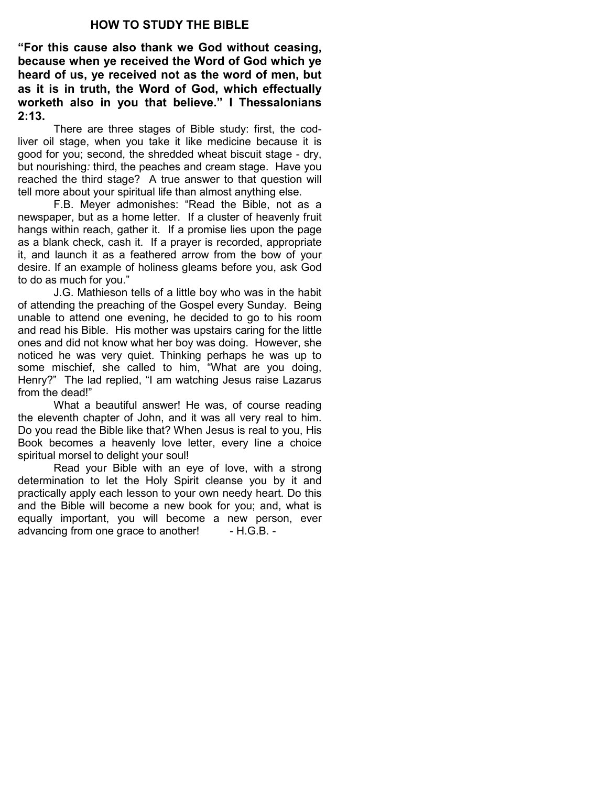## HOW TO STUDY THE BIBLE

"For this cause also thank we God without ceasing, because when ye received the Word of God which ye heard of us, ye received not as the word of men, but as it is in truth, the Word of God, which effectually worketh also in you that believe." I Thessalonians 2:13.

There are three stages of Bible study: first, the codliver oil stage, when you take it like medicine because it is good for you; second, the shredded wheat biscuit stage - dry, but nourishing: third, the peaches and cream stage. Have you reached the third stage? A true answer to that question will tell more about your spiritual life than almost anything else.

 F.B. Meyer admonishes: "Read the Bible, not as a newspaper, but as a home letter. If a cluster of heavenly fruit hangs within reach, gather it. If a promise lies upon the page as a blank check, cash it. If a prayer is recorded, appropriate it, and launch it as a feathered arrow from the bow of your desire. If an example of holiness gleams before you, ask God to do as much for you."

 J.G. Mathieson tells of a little boy who was in the habit of attending the preaching of the Gospel every Sunday. Being unable to attend one evening, he decided to go to his room and read his Bible. His mother was upstairs caring for the little ones and did not know what her boy was doing. However, she noticed he was very quiet. Thinking perhaps he was up to some mischief, she called to him, "What are you doing, Henry?" The lad replied, "I am watching Jesus raise Lazarus from the dead!"

 What a beautiful answer! He was, of course reading the eleventh chapter of John, and it was all very real to him. Do you read the Bible like that? When Jesus is real to you, His Book becomes a heavenly love letter, every line a choice spiritual morsel to delight your soul!

 Read your Bible with an eye of love, with a strong determination to let the Holy Spirit cleanse you by it and practically apply each lesson to your own needy heart. Do this and the Bible will become a new book for you; and, what is equally important, you will become a new person, ever advancing from one grace to another!  $-$  H.G.B. -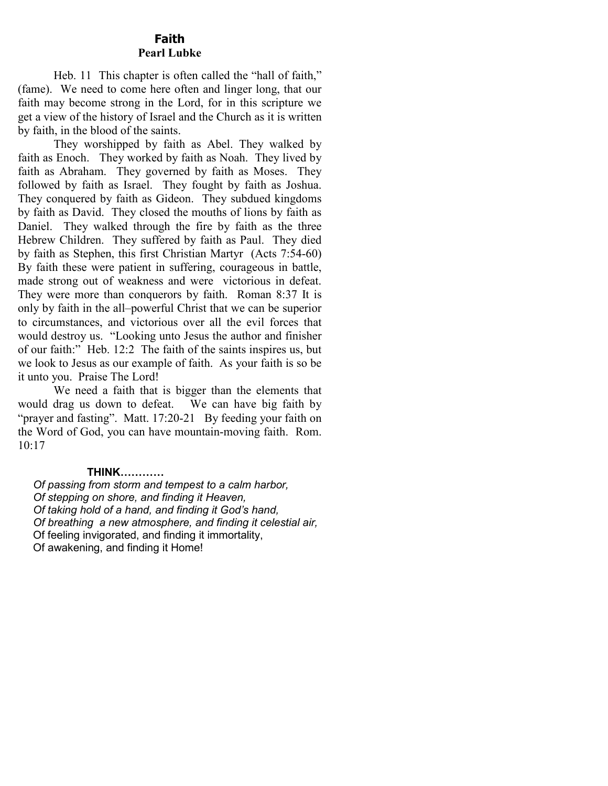### Faith Pearl Lubke

Heb. 11 This chapter is often called the "hall of faith," (fame). We need to come here often and linger long, that our faith may become strong in the Lord, for in this scripture we get a view of the history of Israel and the Church as it is written by faith, in the blood of the saints.

 They worshipped by faith as Abel. They walked by faith as Enoch. They worked by faith as Noah. They lived by faith as Abraham. They governed by faith as Moses. They followed by faith as Israel. They fought by faith as Joshua. They conquered by faith as Gideon. They subdued kingdoms by faith as David. They closed the mouths of lions by faith as Daniel. They walked through the fire by faith as the three Hebrew Children. They suffered by faith as Paul. They died by faith as Stephen, this first Christian Martyr (Acts 7:54-60) By faith these were patient in suffering, courageous in battle, made strong out of weakness and were victorious in defeat. They were more than conquerors by faith. Roman 8:37 It is only by faith in the all–powerful Christ that we can be superior to circumstances, and victorious over all the evil forces that would destroy us. "Looking unto Jesus the author and finisher of our faith:" Heb. 12:2 The faith of the saints inspires us, but we look to Jesus as our example of faith. As your faith is so be it unto you. Praise The Lord!

We need a faith that is bigger than the elements that would drag us down to defeat. We can have big faith by "prayer and fasting". Matt. 17:20-21 By feeding your faith on the Word of God, you can have mountain-moving faith. Rom. 10:17

### THINK…………

 Of passing from storm and tempest to a calm harbor, Of stepping on shore, and finding it Heaven, Of taking hold of a hand, and finding it God's hand, Of breathing a new atmosphere, and finding it celestial air, Of feeling invigorated, and finding it immortality, Of awakening, and finding it Home!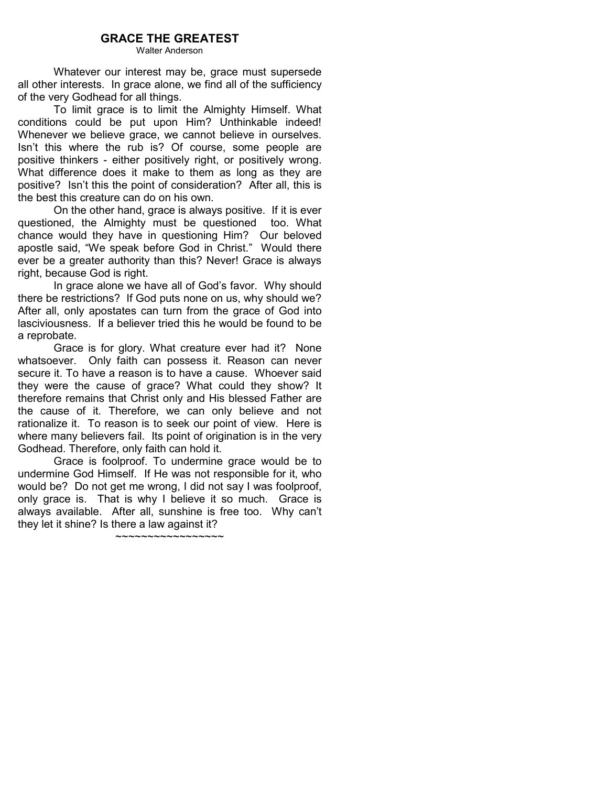### GRACE THE GREATEST

Walter Anderson

Whatever our interest may be, grace must supersede all other interests. In grace alone, we find all of the sufficiency of the very Godhead for all things.

 To limit grace is to limit the Almighty Himself. What conditions could be put upon Him? Unthinkable indeed! Whenever we believe grace, we cannot believe in ourselves. Isn't this where the rub is? Of course, some people are positive thinkers - either positively right, or positively wrong. What difference does it make to them as long as they are positive? Isn't this the point of consideration? After all, this is the best this creature can do on his own.

 On the other hand, grace is always positive. If it is ever questioned, the Almighty must be questioned too. What chance would they have in questioning Him? Our beloved apostle said, "We speak before God in Christ." Would there ever be a greater authority than this? Never! Grace is always right, because God is right.

 In grace alone we have all of God's favor. Why should there be restrictions? If God puts none on us, why should we? After all, only apostates can turn from the grace of God into lasciviousness. If a believer tried this he would be found to be a reprobate.

 Grace is for glory. What creature ever had it? None whatsoever. Only faith can possess it. Reason can never secure it. To have a reason is to have a cause. Whoever said they were the cause of grace? What could they show? It therefore remains that Christ only and His blessed Father are the cause of it. Therefore, we can only believe and not rationalize it. To reason is to seek our point of view. Here is where many believers fail. Its point of origination is in the very Godhead. Therefore, only faith can hold it.

 Grace is foolproof. To undermine grace would be to undermine God Himself. If He was not responsible for it, who would be? Do not get me wrong, I did not say I was foolproof, only grace is. That is why I believe it so much. Grace is always available. After all, sunshine is free too. Why can't they let it shine? Is there a law against it?

~~~~~~~~~~~~~~~~~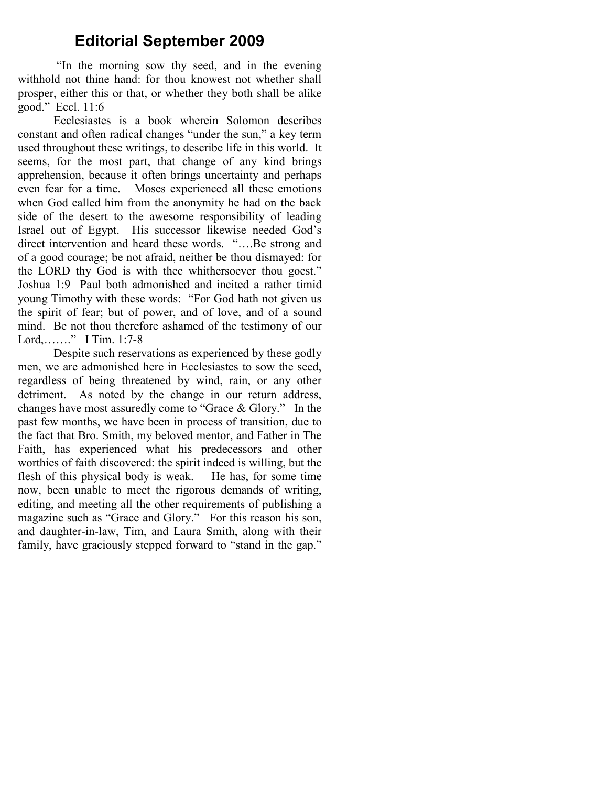# Editorial September 2009

 "In the morning sow thy seed, and in the evening withhold not thine hand: for thou knowest not whether shall prosper, either this or that, or whether they both shall be alike good." Eccl. 11:6

Ecclesiastes is a book wherein Solomon describes constant and often radical changes "under the sun," a key term used throughout these writings, to describe life in this world. It seems, for the most part, that change of any kind brings apprehension, because it often brings uncertainty and perhaps even fear for a time. Moses experienced all these emotions when God called him from the anonymity he had on the back side of the desert to the awesome responsibility of leading Israel out of Egypt. His successor likewise needed God's direct intervention and heard these words. "….Be strong and of a good courage; be not afraid, neither be thou dismayed: for the LORD thy God is with thee whithersoever thou goest." Joshua 1:9 Paul both admonished and incited a rather timid young Timothy with these words: "For God hath not given us the spirit of fear; but of power, and of love, and of a sound mind. Be not thou therefore ashamed of the testimony of our Lord,……." I Tim. 1:7-8

Despite such reservations as experienced by these godly men, we are admonished here in Ecclesiastes to sow the seed, regardless of being threatened by wind, rain, or any other detriment. As noted by the change in our return address, changes have most assuredly come to "Grace & Glory." In the past few months, we have been in process of transition, due to the fact that Bro. Smith, my beloved mentor, and Father in The Faith, has experienced what his predecessors and other worthies of faith discovered: the spirit indeed is willing, but the flesh of this physical body is weak. He has, for some time now, been unable to meet the rigorous demands of writing, editing, and meeting all the other requirements of publishing a magazine such as "Grace and Glory." For this reason his son, and daughter-in-law, Tim, and Laura Smith, along with their family, have graciously stepped forward to "stand in the gap."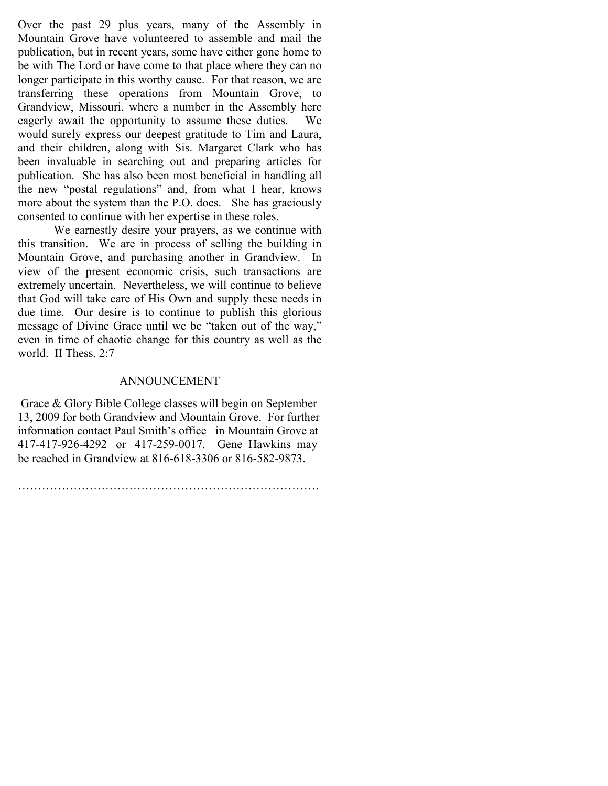Over the past 29 plus years, many of the Assembly in Mountain Grove have volunteered to assemble and mail the publication, but in recent years, some have either gone home to be with The Lord or have come to that place where they can no longer participate in this worthy cause. For that reason, we are transferring these operations from Mountain Grove, to Grandview, Missouri, where a number in the Assembly here eagerly await the opportunity to assume these duties. We would surely express our deepest gratitude to Tim and Laura, and their children, along with Sis. Margaret Clark who has been invaluable in searching out and preparing articles for publication. She has also been most beneficial in handling all the new "postal regulations" and, from what I hear, knows more about the system than the P.O. does. She has graciously consented to continue with her expertise in these roles.

We earnestly desire your prayers, as we continue with this transition. We are in process of selling the building in Mountain Grove, and purchasing another in Grandview. In view of the present economic crisis, such transactions are extremely uncertain. Nevertheless, we will continue to believe that God will take care of His Own and supply these needs in due time. Our desire is to continue to publish this glorious message of Divine Grace until we be "taken out of the way," even in time of chaotic change for this country as well as the world. II Thess. 2:7

### ANNOUNCEMENT

 Grace & Glory Bible College classes will begin on September 13, 2009 for both Grandview and Mountain Grove. For further information contact Paul Smith's office in Mountain Grove at 417-417-926-4292 or 417-259-0017. Gene Hawkins may be reached in Grandview at 816-618-3306 or 816-582-9873.

………………………………………………………………….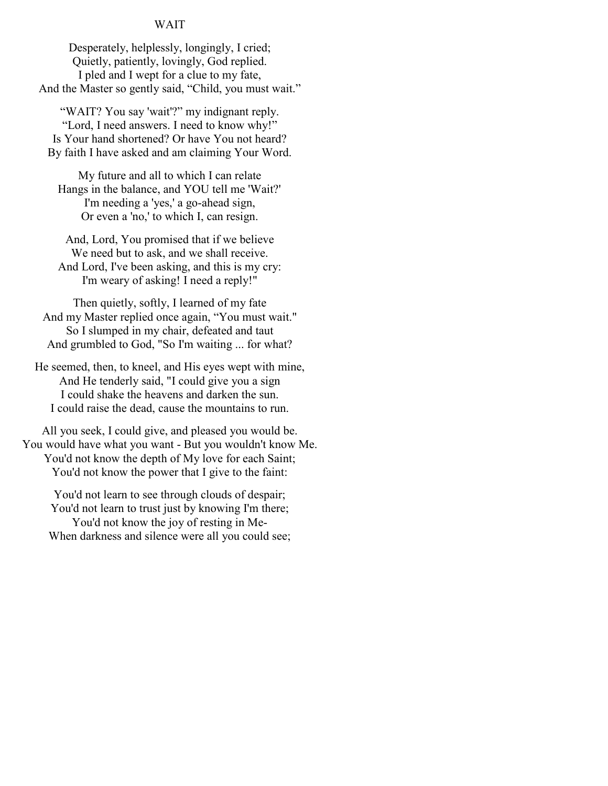### WAIT

Desperately, helplessly, longingly, I cried; Quietly, patiently, lovingly, God replied. I pled and I wept for a clue to my fate, And the Master so gently said, "Child, you must wait."

"WAIT? You say 'wait'?" my indignant reply. "Lord, I need answers. I need to know why!" Is Your hand shortened? Or have You not heard? By faith I have asked and am claiming Your Word.

My future and all to which I can relate Hangs in the balance, and YOU tell me 'Wait?' I'm needing a 'yes,' a go-ahead sign, Or even a 'no,' to which I, can resign.

And, Lord, You promised that if we believe We need but to ask, and we shall receive. And Lord, I've been asking, and this is my cry: I'm weary of asking! I need a reply!"

Then quietly, softly, I learned of my fate And my Master replied once again, "You must wait." So I slumped in my chair, defeated and taut And grumbled to God, "So I'm waiting ... for what?

He seemed, then, to kneel, and His eyes wept with mine, And He tenderly said, "I could give you a sign I could shake the heavens and darken the sun. I could raise the dead, cause the mountains to run.

All you seek, I could give, and pleased you would be. You would have what you want - But you wouldn't know Me. You'd not know the depth of My love for each Saint; You'd not know the power that I give to the faint:

You'd not learn to see through clouds of despair; You'd not learn to trust just by knowing I'm there; You'd not know the joy of resting in Me-When darkness and silence were all you could see;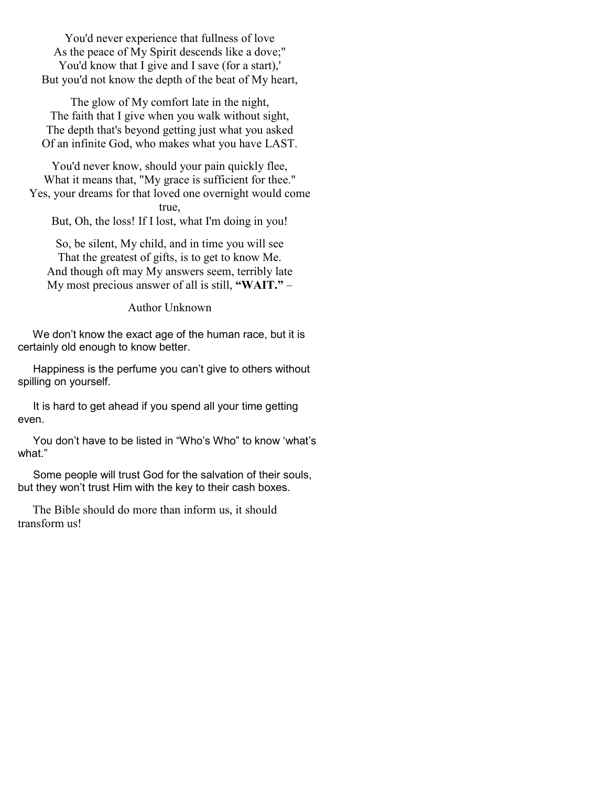You'd never experience that fullness of love As the peace of My Spirit descends like a dove;" You'd know that I give and I save (for a start),' But you'd not know the depth of the beat of My heart,

The glow of My comfort late in the night, The faith that I give when you walk without sight, The depth that's beyond getting just what you asked Of an infinite God, who makes what you have LAST.

You'd never know, should your pain quickly flee, What it means that, "My grace is sufficient for thee." Yes, your dreams for that loved one overnight would come

true, But, Oh, the loss! If I lost, what I'm doing in you!

So, be silent, My child, and in time you will see That the greatest of gifts, is to get to know Me. And though oft may My answers seem, terribly late My most precious answer of all is still, "WAIT."  $-$ 

Author Unknown

We don't know the exact age of the human race, but it is certainly old enough to know better.

 Happiness is the perfume you can't give to others without spilling on yourself.

 It is hard to get ahead if you spend all your time getting even.

 You don't have to be listed in "Who's Who" to know 'what's what."

 Some people will trust God for the salvation of their souls, but they won't trust Him with the key to their cash boxes.

 The Bible should do more than inform us, it should transform us!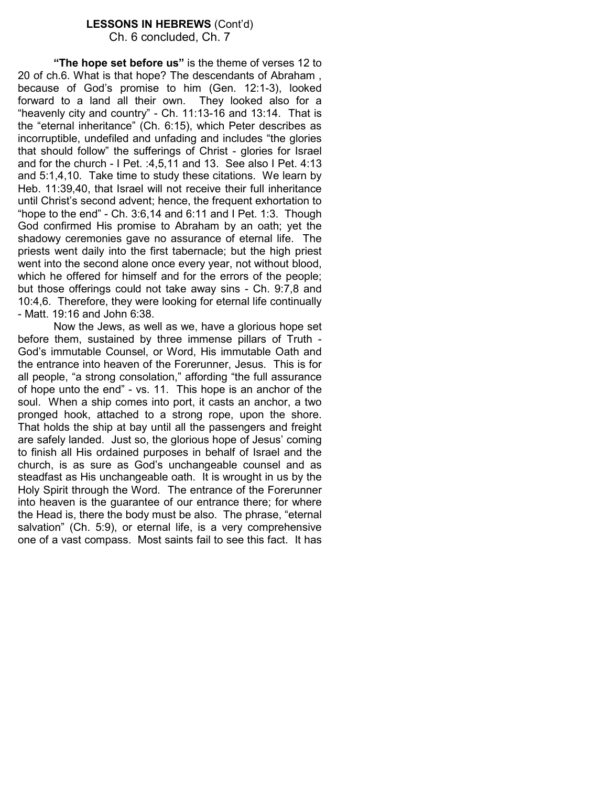### LESSONS IN HEBREWS (Cont'd)

Ch. 6 concluded, Ch. 7

"The hope set before us" is the theme of verses 12 to 20 of ch.6. What is that hope? The descendants of Abraham , because of God's promise to him (Gen. 12:1-3), looked forward to a land all their own. They looked also for a "heavenly city and country" - Ch. 11:13-16 and 13:14. That is the "eternal inheritance" (Ch. 6:15), which Peter describes as incorruptible, undefiled and unfading and includes "the glories that should follow" the sufferings of Christ - glories for Israel and for the church - I Pet. :4,5,11 and 13. See also I Pet. 4:13 and 5:1,4,10. Take time to study these citations. We learn by Heb. 11:39,40, that Israel will not receive their full inheritance until Christ's second advent; hence, the frequent exhortation to "hope to the end" - Ch.  $3:6,14$  and  $6:11$  and I Pet. 1:3. Though God confirmed His promise to Abraham by an oath; yet the shadowy ceremonies gave no assurance of eternal life. The priests went daily into the first tabernacle; but the high priest went into the second alone once every year, not without blood, which he offered for himself and for the errors of the people; but those offerings could not take away sins - Ch. 9:7,8 and 10:4,6. Therefore, they were looking for eternal life continually - Matt. 19:16 and John 6:38.

 Now the Jews, as well as we, have a glorious hope set before them, sustained by three immense pillars of Truth - God's immutable Counsel, or Word, His immutable Oath and the entrance into heaven of the Forerunner, Jesus. This is for all people, "a strong consolation," affording "the full assurance of hope unto the end" - vs. 11. This hope is an anchor of the soul. When a ship comes into port, it casts an anchor, a two pronged hook, attached to a strong rope, upon the shore. That holds the ship at bay until all the passengers and freight are safely landed. Just so, the glorious hope of Jesus' coming to finish all His ordained purposes in behalf of Israel and the church, is as sure as God's unchangeable counsel and as steadfast as His unchangeable oath. It is wrought in us by the Holy Spirit through the Word. The entrance of the Forerunner into heaven is the guarantee of our entrance there; for where the Head is, there the body must be also. The phrase, "eternal salvation" (Ch. 5:9), or eternal life, is a very comprehensive one of a vast compass. Most saints fail to see this fact. It has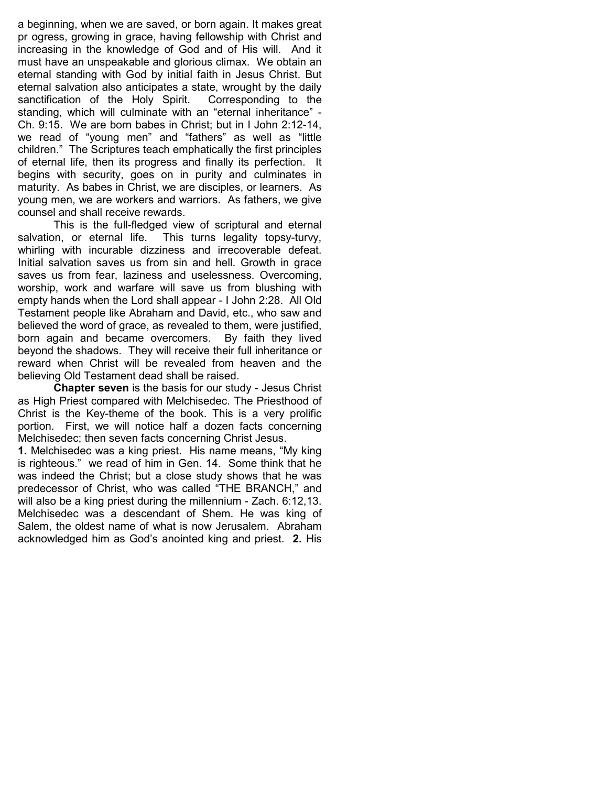a beginning, when we are saved, or born again. It makes great pr ogress, growing in grace, having fellowship with Christ and increasing in the knowledge of God and of His will. And it must have an unspeakable and glorious climax. We obtain an eternal standing with God by initial faith in Jesus Christ. But eternal salvation also anticipates a state, wrought by the daily sanctification of the Holy Spirit. Corresponding to the standing, which will culminate with an "eternal inheritance" - Ch. 9:15. We are born babes in Christ; but in I John 2:12-14, we read of "young men" and "fathers" as well as "little children." The Scriptures teach emphatically the first principles of eternal life, then its progress and finally its perfection. It begins with security, goes on in purity and culminates in maturity. As babes in Christ, we are disciples, or learners. As young men, we are workers and warriors. As fathers, we give counsel and shall receive rewards.

 This is the full-fledged view of scriptural and eternal salvation, or eternal life. This turns legality topsy-turvy, whirling with incurable dizziness and irrecoverable defeat. Initial salvation saves us from sin and hell. Growth in grace saves us from fear, laziness and uselessness. Overcoming, worship, work and warfare will save us from blushing with empty hands when the Lord shall appear - I John 2:28. All Old Testament people like Abraham and David, etc., who saw and believed the word of grace, as revealed to them, were justified, born again and became overcomers. By faith they lived beyond the shadows. They will receive their full inheritance or reward when Christ will be revealed from heaven and the believing Old Testament dead shall be raised.

Chapter seven is the basis for our study - Jesus Christ as High Priest compared with Melchisedec. The Priesthood of Christ is the Key-theme of the book. This is a very prolific portion. First, we will notice half a dozen facts concerning Melchisedec; then seven facts concerning Christ Jesus.

1. Melchisedec was a king priest. His name means, "My king is righteous." we read of him in Gen. 14. Some think that he was indeed the Christ; but a close study shows that he was predecessor of Christ, who was called "THE BRANCH," and will also be a king priest during the millennium - Zach. 6:12,13. Melchisedec was a descendant of Shem. He was king of Salem, the oldest name of what is now Jerusalem. Abraham acknowledged him as God's anointed king and priest. 2. His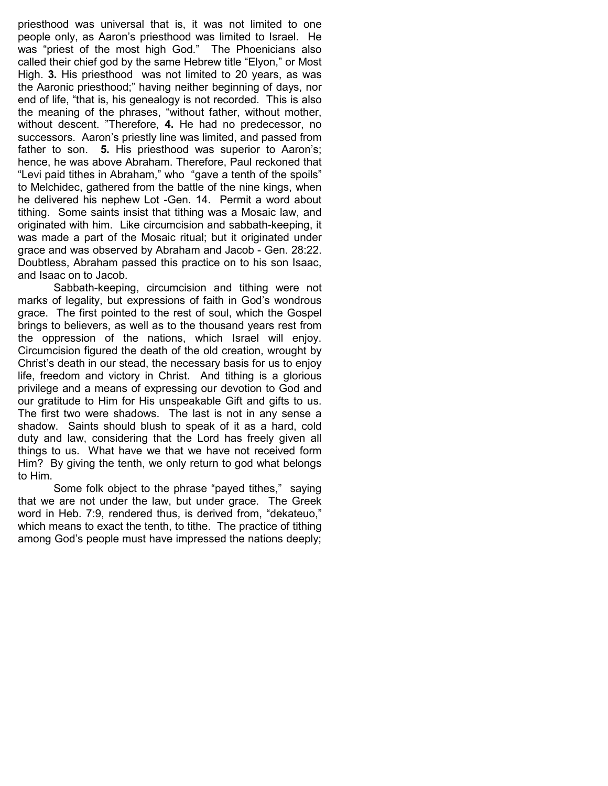priesthood was universal that is, it was not limited to one people only, as Aaron's priesthood was limited to Israel. He was "priest of the most high God." The Phoenicians also called their chief god by the same Hebrew title "Elyon," or Most High. 3. His priesthood was not limited to 20 years, as was the Aaronic priesthood;" having neither beginning of days, nor end of life, "that is, his genealogy is not recorded. This is also the meaning of the phrases, "without father, without mother, without descent. "Therefore, 4. He had no predecessor, no successors. Aaron's priestly line was limited, and passed from father to son. **5.** His priesthood was superior to Aaron's; hence, he was above Abraham. Therefore, Paul reckoned that "Levi paid tithes in Abraham," who "gave a tenth of the spoils" to Melchidec, gathered from the battle of the nine kings, when he delivered his nephew Lot -Gen. 14. Permit a word about tithing. Some saints insist that tithing was a Mosaic law, and originated with him. Like circumcision and sabbath-keeping, it was made a part of the Mosaic ritual; but it originated under grace and was observed by Abraham and Jacob - Gen. 28:22. Doubtless, Abraham passed this practice on to his son Isaac, and Isaac on to Jacob.

 Sabbath-keeping, circumcision and tithing were not marks of legality, but expressions of faith in God's wondrous grace. The first pointed to the rest of soul, which the Gospel brings to believers, as well as to the thousand years rest from the oppression of the nations, which Israel will enjoy. Circumcision figured the death of the old creation, wrought by Christ's death in our stead, the necessary basis for us to enjoy life, freedom and victory in Christ. And tithing is a glorious privilege and a means of expressing our devotion to God and our gratitude to Him for His unspeakable Gift and gifts to us. The first two were shadows. The last is not in any sense a shadow. Saints should blush to speak of it as a hard, cold duty and law, considering that the Lord has freely given all things to us. What have we that we have not received form Him? By giving the tenth, we only return to god what belongs to Him.

 Some folk object to the phrase "payed tithes," saying that we are not under the law, but under grace. The Greek word in Heb. 7:9, rendered thus, is derived from, "dekateuo," which means to exact the tenth, to tithe. The practice of tithing among God's people must have impressed the nations deeply;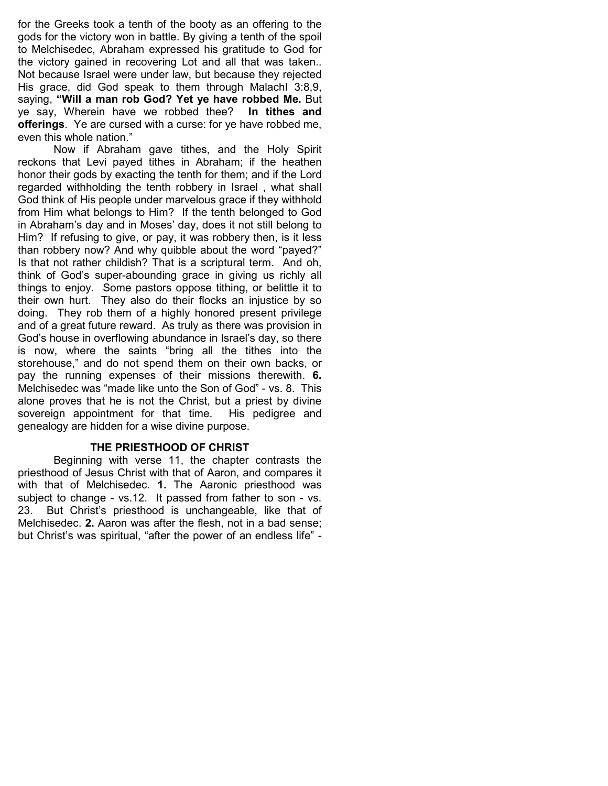for the Greeks took a tenth of the booty as an offering to the gods for the victory won in battle. By giving a tenth of the spoil to Melchisedec, Abraham expressed his gratitude to God for the victory gained in recovering Lot and all that was taken.. Not because Israel were under law, but because they rejected His grace, did God speak to them through MalachI 3:8,9, saying, "Will a man rob God? Yet ye have robbed Me. But ye say, Wherein have we robbed thee? In tithes and offerings. Ye are cursed with a curse: for ye have robbed me, even this whole nation."

 Now if Abraham gave tithes, and the Holy Spirit reckons that Levi payed tithes in Abraham; if the heathen honor their gods by exacting the tenth for them; and if the Lord regarded withholding the tenth robbery in Israel , what shall God think of His people under marvelous grace if they withhold from Him what belongs to Him? If the tenth belonged to God in Abraham's day and in Moses' day, does it not still belong to Him? If refusing to give, or pay, it was robbery then, is it less than robbery now? And why quibble about the word "payed?" Is that not rather childish? That is a scriptural term. And oh, think of God's super-abounding grace in giving us richly all things to enjoy. Some pastors oppose tithing, or belittle it to their own hurt. They also do their flocks an injustice by so doing. They rob them of a highly honored present privilege and of a great future reward. As truly as there was provision in God's house in overflowing abundance in Israel's day, so there is now, where the saints "bring all the tithes into the storehouse," and do not spend them on their own backs, or pay the running expenses of their missions therewith. 6. Melchisedec was "made like unto the Son of God" - vs. 8. This alone proves that he is not the Christ, but a priest by divine sovereign appointment for that time. His pedigree and genealogy are hidden for a wise divine purpose.

### THE PRIESTHOOD OF CHRIST

Beginning with verse 11, the chapter contrasts the priesthood of Jesus Christ with that of Aaron, and compares it with that of Melchisedec. 1. The Aaronic priesthood was subject to change - vs.12. It passed from father to son - vs. 23. But Christ's priesthood is unchangeable, like that of Melchisedec. 2. Aaron was after the flesh, not in a bad sense; but Christ's was spiritual, "after the power of an endless life" -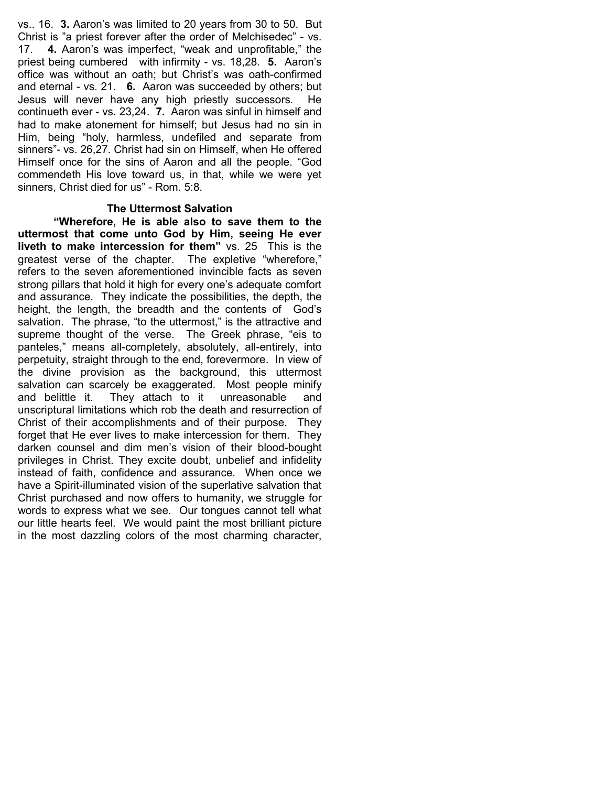vs.. 16. 3. Aaron's was limited to 20 years from 30 to 50. But Christ is "a priest forever after the order of Melchisedec" - vs. 17. 4. Aaron's was imperfect, "weak and unprofitable," the priest being cumbered with infirmity - vs. 18,28. 5. Aaron's office was without an oath; but Christ's was oath-confirmed and eternal - vs. 21. 6. Aaron was succeeded by others; but Jesus will never have any high priestly successors. He continueth ever - vs. 23,24. 7. Aaron was sinful in himself and had to make atonement for himself; but Jesus had no sin in Him, being "holy, harmless, undefiled and separate from sinners"- vs. 26,27. Christ had sin on Himself, when He offered Himself once for the sins of Aaron and all the people. "God commendeth His love toward us, in that, while we were yet sinners, Christ died for us" - Rom. 5:8.

### The Uttermost Salvation

"Wherefore, He is able also to save them to the uttermost that come unto God by Him, seeing He ever liveth to make intercession for them" vs. 25 This is the greatest verse of the chapter. The expletive "wherefore," refers to the seven aforementioned invincible facts as seven strong pillars that hold it high for every one's adequate comfort and assurance. They indicate the possibilities, the depth, the height, the length, the breadth and the contents of God's salvation. The phrase, "to the uttermost," is the attractive and supreme thought of the verse. The Greek phrase, "eis to panteles," means all-completely, absolutely, all-entirely, into perpetuity, straight through to the end, forevermore. In view of the divine provision as the background, this uttermost salvation can scarcely be exaggerated. Most people minify and belittle it. They attach to it unreasonable and unscriptural limitations which rob the death and resurrection of Christ of their accomplishments and of their purpose. They forget that He ever lives to make intercession for them. They darken counsel and dim men's vision of their blood-bought privileges in Christ. They excite doubt, unbelief and infidelity instead of faith, confidence and assurance. When once we have a Spirit-illuminated vision of the superlative salvation that Christ purchased and now offers to humanity, we struggle for words to express what we see. Our tongues cannot tell what our little hearts feel. We would paint the most brilliant picture in the most dazzling colors of the most charming character,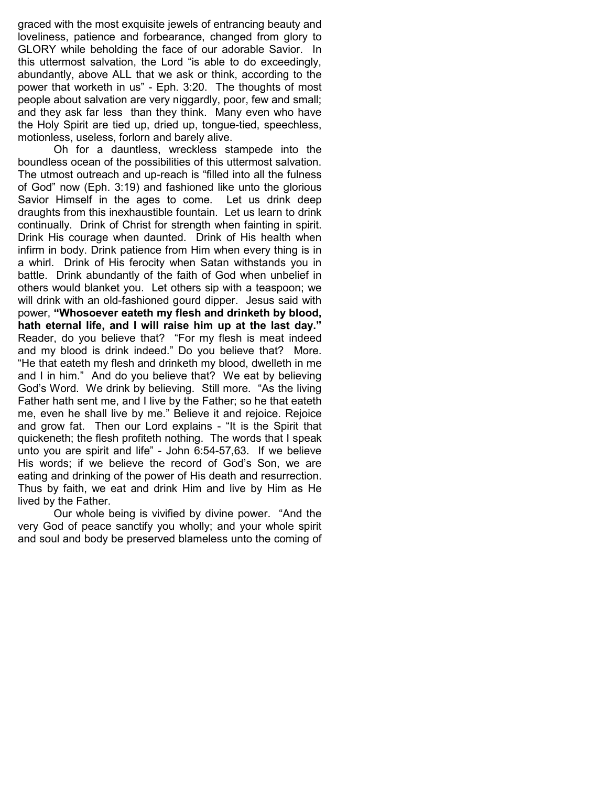graced with the most exquisite jewels of entrancing beauty and loveliness, patience and forbearance, changed from glory to GLORY while beholding the face of our adorable Savior. In this uttermost salvation, the Lord "is able to do exceedingly, abundantly, above ALL that we ask or think, according to the power that worketh in us" - Eph. 3:20. The thoughts of most people about salvation are very niggardly, poor, few and small; and they ask far less than they think. Many even who have the Holy Spirit are tied up, dried up, tongue-tied, speechless, motionless, useless, forlorn and barely alive.

 Oh for a dauntless, wreckless stampede into the boundless ocean of the possibilities of this uttermost salvation. The utmost outreach and up-reach is "filled into all the fulness of God" now (Eph. 3:19) and fashioned like unto the glorious Savior Himself in the ages to come. Let us drink deep draughts from this inexhaustible fountain. Let us learn to drink continually. Drink of Christ for strength when fainting in spirit. Drink His courage when daunted. Drink of His health when infirm in body. Drink patience from Him when every thing is in a whirl. Drink of His ferocity when Satan withstands you in battle. Drink abundantly of the faith of God when unbelief in others would blanket you. Let others sip with a teaspoon; we will drink with an old-fashioned gourd dipper. Jesus said with power, "Whosoever eateth my flesh and drinketh by blood, hath eternal life, and I will raise him up at the last day." Reader, do you believe that? "For my flesh is meat indeed and my blood is drink indeed." Do you believe that? More. "He that eateth my flesh and drinketh my blood, dwelleth in me and I in him." And do you believe that? We eat by believing God's Word. We drink by believing. Still more. "As the living Father hath sent me, and I live by the Father; so he that eateth me, even he shall live by me." Believe it and rejoice. Rejoice and grow fat. Then our Lord explains - "It is the Spirit that quickeneth; the flesh profiteth nothing. The words that I speak unto you are spirit and life" - John 6:54-57,63. If we believe His words; if we believe the record of God's Son, we are eating and drinking of the power of His death and resurrection. Thus by faith, we eat and drink Him and live by Him as He lived by the Father.

 Our whole being is vivified by divine power. "And the very God of peace sanctify you wholly; and your whole spirit and soul and body be preserved blameless unto the coming of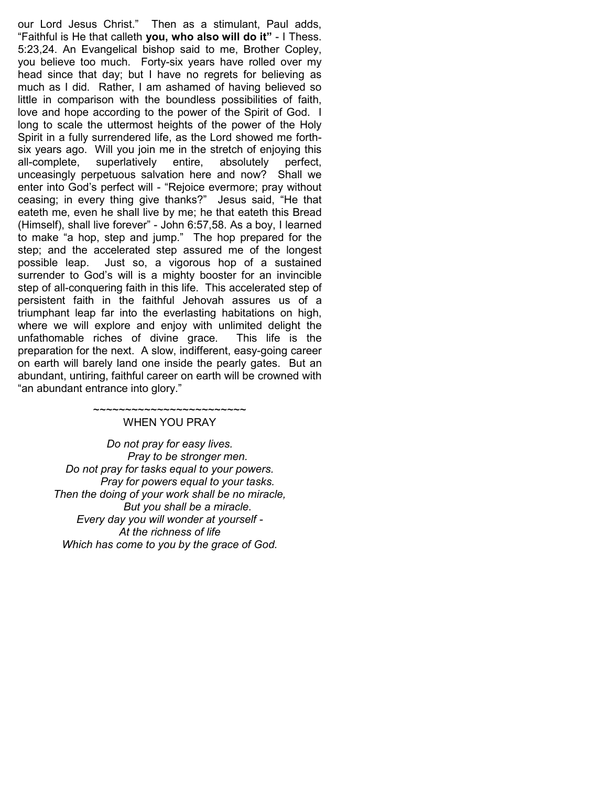our Lord Jesus Christ." Then as a stimulant, Paul adds, "Faithful is He that calleth you, who also will do it" - I Thess. 5:23,24. An Evangelical bishop said to me, Brother Copley, you believe too much. Forty-six years have rolled over my head since that day; but I have no regrets for believing as much as I did. Rather, I am ashamed of having believed so little in comparison with the boundless possibilities of faith, love and hope according to the power of the Spirit of God. I long to scale the uttermost heights of the power of the Holy Spirit in a fully surrendered life, as the Lord showed me forthsix years ago. Will you join me in the stretch of enjoying this all-complete, superlatively entire, absolutely perfect, unceasingly perpetuous salvation here and now? Shall we enter into God's perfect will - "Rejoice evermore; pray without ceasing; in every thing give thanks?" Jesus said, "He that eateth me, even he shall live by me; he that eateth this Bread (Himself), shall live forever" - John 6:57,58. As a boy, I learned to make "a hop, step and jump." The hop prepared for the step; and the accelerated step assured me of the longest possible leap. Just so, a vigorous hop of a sustained surrender to God's will is a mighty booster for an invincible step of all-conquering faith in this life. This accelerated step of persistent faith in the faithful Jehovah assures us of a triumphant leap far into the everlasting habitations on high, where we will explore and enjoy with unlimited delight the unfathomable riches of divine grace. This life is the preparation for the next. A slow, indifferent, easy-going career on earth will barely land one inside the pearly gates. But an abundant, untiring, faithful career on earth will be crowned with "an abundant entrance into glory."

### ~~~~~~~~~~~~~~~~~~~~~~ WHEN YOU PRAY

Do not pray for easy lives. Pray to be stronger men. Do not pray for tasks equal to your powers. Pray for powers equal to your tasks. Then the doing of your work shall be no miracle, But you shall be a miracle. Every day you will wonder at yourself - At the richness of life Which has come to you by the grace of God.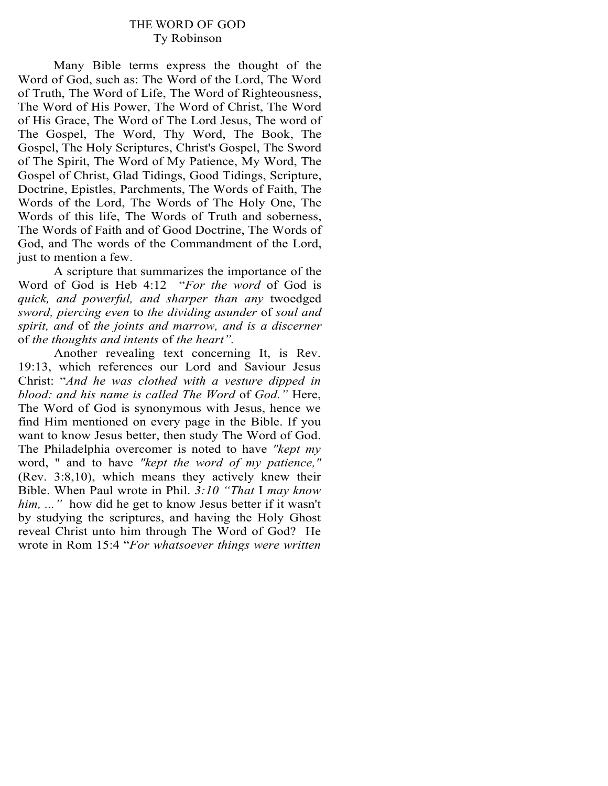### THE WORD OF GOD Ty Robinson

Many Bible terms express the thought of the Word of God, such as: The Word of the Lord, The Word of Truth, The Word of Life, The Word of Righteousness, The Word of His Power, The Word of Christ, The Word of His Grace, The Word of The Lord Jesus, The word of The Gospel, The Word, Thy Word, The Book, The Gospel, The Holy Scriptures, Christ's Gospel, The Sword of The Spirit, The Word of My Patience, My Word, The Gospel of Christ, Glad Tidings, Good Tidings, Scripture, Doctrine, Epistles, Parchments, The Words of Faith, The Words of the Lord, The Words of The Holy One, The Words of this life, The Words of Truth and soberness, The Words of Faith and of Good Doctrine, The Words of God, and The words of the Commandment of the Lord, just to mention a few.

A scripture that summarizes the importance of the Word of God is Heb 4:12 "For the word of God is quick, and powerful, and sharper than any twoedged sword, piercing even to the dividing asunder of soul and spirit, and of the joints and marrow, and is a discerner of the thoughts and intents of the heart".

Another revealing text concerning It, is Rev. 19:13, which references our Lord and Saviour Jesus Christ: "And he was clothed with a vesture dipped in blood: and his name is called The Word of God." Here, The Word of God is synonymous with Jesus, hence we find Him mentioned on every page in the Bible. If you want to know Jesus better, then study The Word of God. The Philadelphia overcomer is noted to have "kept my" word, " and to have "kept the word of my patience," (Rev. 3:8,10), which means they actively knew their Bible. When Paul wrote in Phil. 3:10 "That I may know him, ..." how did he get to know Jesus better if it wasn't by studying the scriptures, and having the Holy Ghost reveal Christ unto him through The Word of God? He wrote in Rom 15:4 "For whatsoever things were written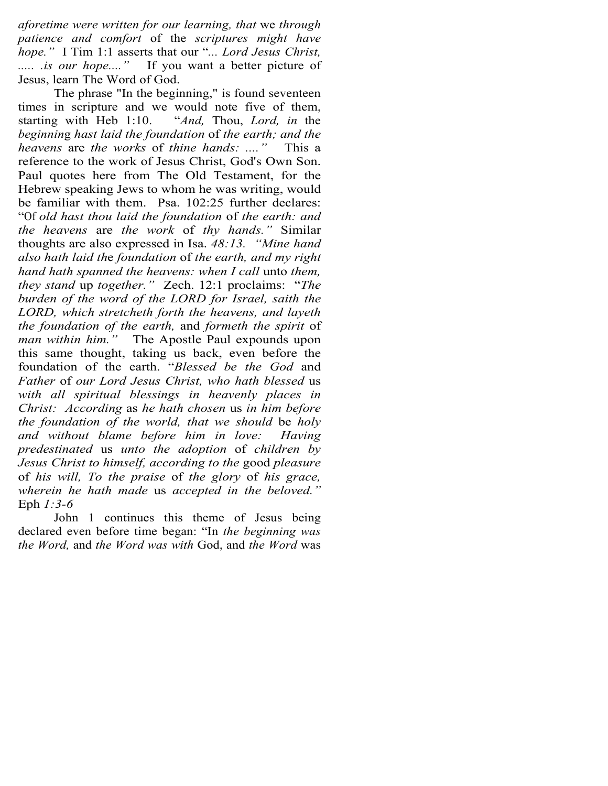aforetime were written for our learning, that we through patience and comfort of the scriptures might have hope." I Tim 1:1 asserts that our "... Lord Jesus Christ, ..... *is our hope....*" If you want a better picture of Jesus, learn The Word of God.

The phrase "In the beginning," is found seventeen times in scripture and we would note five of them, starting with Heb 1:10. "And, Thou, Lord, in the beginning hast laid the foundation of the earth; and the heavens are the works of thine hands: ...." This a reference to the work of Jesus Christ, God's Own Son. Paul quotes here from The Old Testament, for the Hebrew speaking Jews to whom he was writing, would be familiar with them. Psa. 102:25 further declares: "Of old hast thou laid the foundation of the earth: and the heavens are the work of thy hands." Similar thoughts are also expressed in Isa. 48:13. "Mine hand also hath laid the foundation of the earth, and my right hand hath spanned the heavens: when I call unto them, they stand up together." Zech. 12:1 proclaims: "The burden of the word of the LORD for Israel, saith the LORD, which stretcheth forth the heavens, and layeth the foundation of the earth, and formeth the spirit of man within him." The Apostle Paul expounds upon this same thought, taking us back, even before the foundation of the earth. "Blessed be the God and Father of our Lord Jesus Christ, who hath blessed us with all spiritual blessings in heavenly places in Christ: According as he hath chosen us in him before the foundation of the world, that we should be holy and without blame before him in love: Having predestinated us unto the adoption of children by Jesus Christ to himself, according to the good pleasure of his will, To the praise of the glory of his grace, wherein he hath made us accepted in the beloved." Eph  $1:3-6$ 

John 1 continues this theme of Jesus being declared even before time began: "In the beginning was the Word, and the Word was with God, and the Word was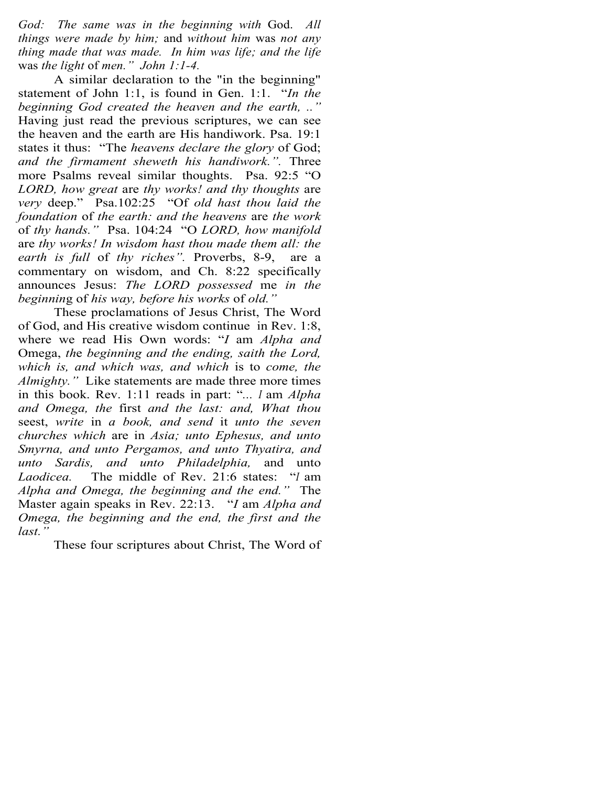God: The same was in the beginning with God. All things were made by him; and without him was not any thing made that was made. In him was life; and the life was the light of men." John 1:1-4.

A similar declaration to the "in the beginning" statement of John 1:1, is found in Gen. 1:1. "In the beginning God created the heaven and the earth, .." Having just read the previous scriptures, we can see the heaven and the earth are His handiwork. Psa. 19:1 states it thus: "The *heavens declare the glory* of God; and the firmament sheweth his handiwork.". Three more Psalms reveal similar thoughts. Psa. 92:5 "O LORD, how great are thy works! and thy thoughts are very deep." Psa.102:25 "Of old hast thou laid the foundation of the earth: and the heavens are the work of thy hands." Psa. 104:24 "O LORD, how manifold are thy works! In wisdom hast thou made them all: the earth is full of thy riches". Proverbs, 8-9, are a commentary on wisdom, and Ch. 8:22 specifically announces Jesus: The LORD possessed me in the beginning of his way, before his works of old."

These proclamations of Jesus Christ, The Word of God, and His creative wisdom continue in Rev. 1:8, where we read His Own words: "I am Alpha and Omega, the beginning and the ending, saith the Lord, which is, and which was, and which is to come, the Almighty." Like statements are made three more times in this book. Rev. 1:11 reads in part: "... I am Alpha and Omega, the first and the last: and, What thou seest, write in a book, and send it unto the seven churches which are in Asia; unto Ephesus, and unto Smyrna, and unto Pergamos, and unto Thyatira, and unto Sardis, and unto Philadelphia, and unto Laodicea. The middle of Rev. 21:6 states: "I am Alpha and Omega, the beginning and the end." The Master again speaks in Rev. 22:13. "I am Alpha and Omega, the beginning and the end, the first and the last.'

These four scriptures about Christ, The Word of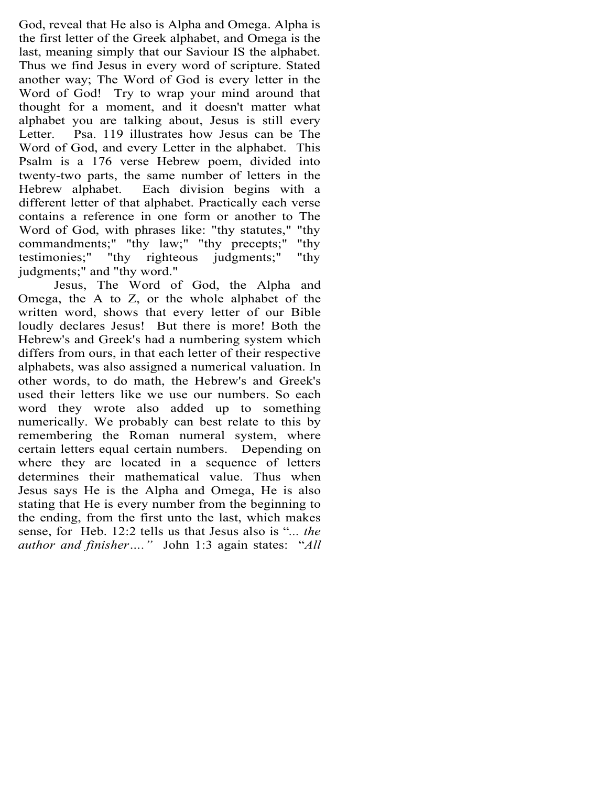God, reveal that He also is Alpha and Omega. Alpha is the first letter of the Greek alphabet, and Omega is the last, meaning simply that our Saviour IS the alphabet. Thus we find Jesus in every word of scripture. Stated another way; The Word of God is every letter in the Word of God! Try to wrap your mind around that thought for a moment, and it doesn't matter what alphabet you are talking about, Jesus is still every Letter. Psa. 119 illustrates how Jesus can be The Word of God, and every Letter in the alphabet. This Psalm is a 176 verse Hebrew poem, divided into twenty-two parts, the same number of letters in the Hebrew alphabet. Each division begins with a different letter of that alphabet. Practically each verse contains a reference in one form or another to The Word of God, with phrases like: "thy statutes," "thy commandments;" "thy law;" "thy precepts;" "thy testimonies;" "thy righteous judgments;" "thy judgments;" and "thy word."

Jesus, The Word of God, the Alpha and Omega, the A to Z, or the whole alphabet of the written word, shows that every letter of our Bible loudly declares Jesus! But there is more! Both the Hebrew's and Greek's had a numbering system which differs from ours, in that each letter of their respective alphabets, was also assigned a numerical valuation. In other words, to do math, the Hebrew's and Greek's used their letters like we use our numbers. So each word they wrote also added up to something numerically. We probably can best relate to this by remembering the Roman numeral system, where certain letters equal certain numbers. Depending on where they are located in a sequence of letters determines their mathematical value. Thus when Jesus says He is the Alpha and Omega, He is also stating that He is every number from the beginning to the ending, from the first unto the last, which makes sense, for Heb. 12:2 tells us that Jesus also is "... the author and finisher…." John 1:3 again states: "All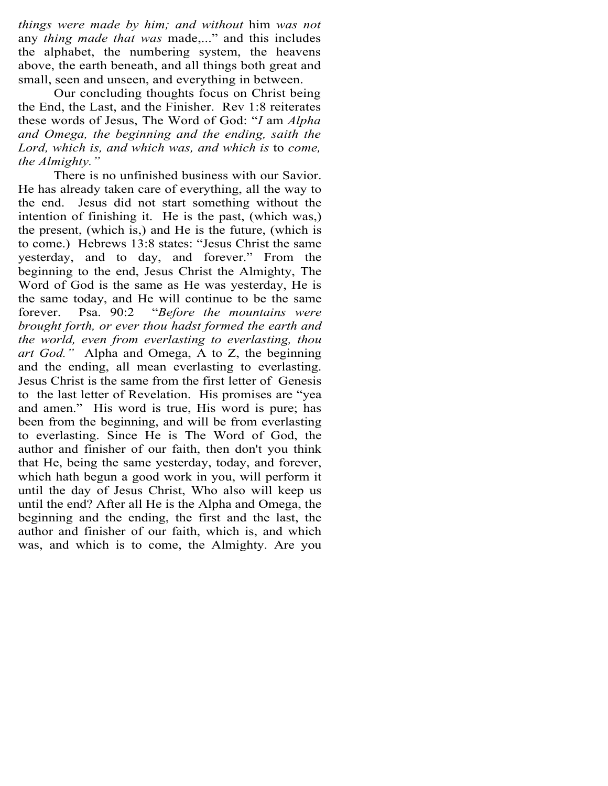things were made by him; and without him was not any *thing made that was* made,..." and this includes the alphabet, the numbering system, the heavens above, the earth beneath, and all things both great and small, seen and unseen, and everything in between.

Our concluding thoughts focus on Christ being the End, the Last, and the Finisher. Rev 1:8 reiterates these words of Jesus, The Word of God: "I am Alpha and Omega, the beginning and the ending, saith the Lord, which is, and which was, and which is to come, the Almighty."

There is no unfinished business with our Savior. He has already taken care of everything, all the way to the end. Jesus did not start something without the intention of finishing it. He is the past, (which was,) the present, (which is,) and He is the future, (which is to come.) Hebrews 13:8 states: "Jesus Christ the same yesterday, and to day, and forever." From the beginning to the end, Jesus Christ the Almighty, The Word of God is the same as He was yesterday, He is the same today, and He will continue to be the same forever. Psa. 90:2 "Before the mountains were brought forth, or ever thou hadst formed the earth and the world, even from everlasting to everlasting, thou art God." Alpha and Omega, A to Z, the beginning and the ending, all mean everlasting to everlasting. Jesus Christ is the same from the first letter of Genesis to the last letter of Revelation. His promises are "yea and amen." His word is true, His word is pure; has been from the beginning, and will be from everlasting to everlasting. Since He is The Word of God, the author and finisher of our faith, then don't you think that He, being the same yesterday, today, and forever, which hath begun a good work in you, will perform it until the day of Jesus Christ, Who also will keep us until the end? After all He is the Alpha and Omega, the beginning and the ending, the first and the last, the author and finisher of our faith, which is, and which was, and which is to come, the Almighty. Are you